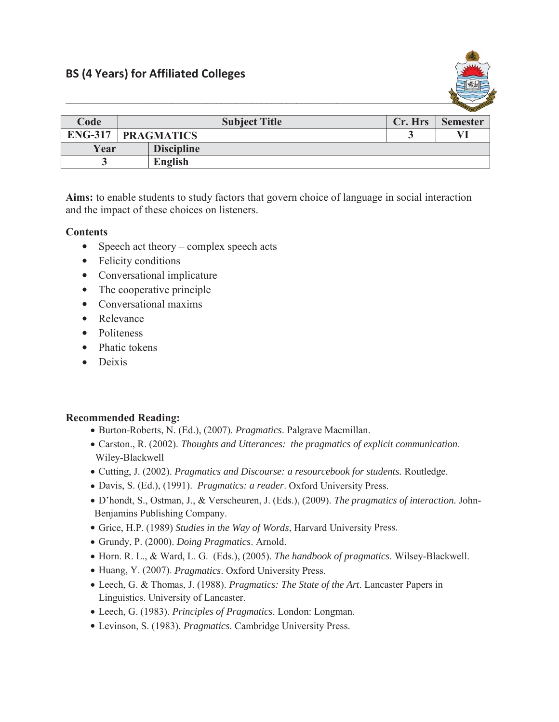

|      |                             |                   |         | $-$             |
|------|-----------------------------|-------------------|---------|-----------------|
| Code | <b>Subject Title</b>        |                   | Cr. Hrs | <b>Semester</b> |
|      | <b>ENG-317   PRAGMATICS</b> |                   |         | VI              |
| Year |                             | <b>Discipline</b> |         |                 |
|      |                             | English           |         |                 |

**Aims:** to enable students to study factors that govern choice of language in social interaction and the impact of these choices on listeners.

## **Contents**

- $\bullet$  Speech act theory complex speech acts
- Felicity conditions
- Conversational implicature
- The cooperative principle
- $\bullet$  Conversational maxims
- Relevance
- Politeness
- $\bullet$  Phatic tokens
- $\bullet$  Deixis

## **Recommended Reading:**

- x Burton-Roberts, N. (Ed.), (2007). *Pragmatics*. Palgrave Macmillan.
- x Carston., R. (2002). *Thoughts and Utterances: the pragmatics of explicit communication*. Wiley-Blackwell
- x Cutting, J. (2002). *Pragmatics and Discourse: a resourcebook for students.* Routledge.
- x Davis, S. (Ed.), (1991). *Pragmatics: a reader*. Oxford University Press.
- x D'hondt, S., Ostman, J., & Verscheuren, J. (Eds.), (2009). *The pragmatics of interaction.* John-Benjamins Publishing Company.
- x Grice, H.P. (1989) *Studies in the Way of Words*, Harvard University Press.
- x Grundy, P. (2000). *Doing Pragmatics*. Arnold.
- x Horn. R. L., & Ward, L. G. (Eds.), (2005). *The handbook of pragmatics*. Wilsey-Blackwell.
- x Huang, Y. (2007). *Pragmatics*. Oxford University Press.
- x Leech, G. & Thomas, J. (1988). *Pragmatics: The State of the Art*. Lancaster Papers in Linguistics. University of Lancaster.
- x Leech, G. (1983). *Principles of Pragmatics*. London: Longman.
- x Levinson, S. (1983). *Pragmatics*. Cambridge University Press.